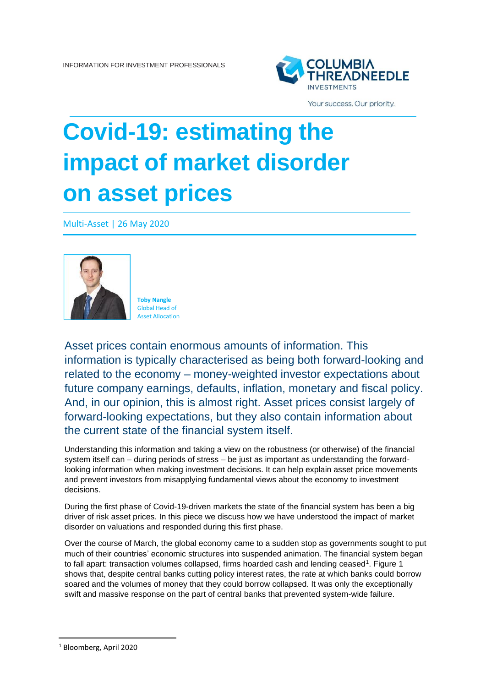

Your success. Our priority.

## **Covid-19: estimating the impact of market disorder on asset prices**

Multi-Asset | 26 May 2020



**Toby Nangle** Global Head of Asset Allocation

Asset prices contain enormous amounts of information. This information is typically characterised as being both forward-looking and related to the economy – money-weighted investor expectations about future company earnings, defaults, inflation, monetary and fiscal policy. And, in our opinion, this is almost right. Asset prices consist largely of forward-looking expectations, but they also contain information about the current state of the financial system itself.

Understanding this information and taking a view on the robustness (or otherwise) of the financial system itself can – during periods of stress – be just as important as understanding the forwardlooking information when making investment decisions. It can help explain asset price movements and prevent investors from misapplying fundamental views about the economy to investment decisions.

During the first phase of Covid-19-driven markets the state of the financial system has been a big driver of risk asset prices. In this piece we discuss how we have understood the impact of market disorder on valuations and responded during this first phase.

Over the course of March, the global economy came to a sudden stop as governments sought to put much of their countries' economic structures into suspended animation. The financial system began to fall apart: transaction volumes collapsed, firms hoarded cash and lending ceased<sup>1</sup>. Figure 1 shows that, despite central banks cutting policy interest rates, the rate at which banks could borrow soared and the volumes of money that they could borrow collapsed. It was only the exceptionally swift and massive response on the part of central banks that prevented system-wide failure.

<sup>1</sup> Bloomberg, April 2020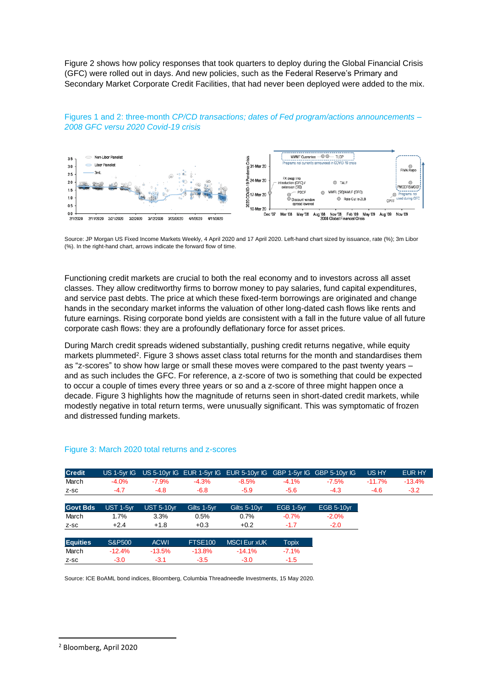Figure 2 shows how policy responses that took quarters to deploy during the Global Financial Crisis (GFC) were rolled out in days. And new policies, such as the Federal Reserve's Primary and Secondary Market Corporate Credit Facilities, that had never been deployed were added to the mix.



Figures 1 and 2: three-month *CP/CD transactions; dates of Fed program/actions announcements – 2008 GFC versu 2020 Covid-19 crisis*

Source: JP Morgan US Fixed Income Markets Weekly, 4 April 2020 and 17 April 2020. Left-hand chart sized by issuance, rate (%); 3m Libor (%). In the right-hand chart, arrows indicate the forward flow of time.

Functioning credit markets are crucial to both the real economy and to investors across all asset classes. They allow creditworthy firms to borrow money to pay salaries, fund capital expenditures, and service past debts. The price at which these fixed-term borrowings are originated and change hands in the secondary market informs the valuation of other long-dated cash flows like rents and future earnings. Rising corporate bond yields are consistent with a fall in the future value of all future corporate cash flows: they are a profoundly deflationary force for asset prices.

During March credit spreads widened substantially, pushing credit returns negative, while equity markets plummeted<sup>2</sup>. Figure 3 shows asset class total returns for the month and standardises them as "z-scores" to show how large or small these moves were compared to the past twenty years – and as such includes the GFC. For reference, a z-score of two is something that could be expected to occur a couple of times every three years or so and a z-score of three might happen once a decade. Figure 3 highlights how the magnitude of returns seen in short-dated credit markets, while modestly negative in total return terms, were unusually significant. This was symptomatic of frozen and distressed funding markets.

| <b>Credit</b>   | US 1-5vr IG |                   |                | US 5-10yr IG EUR 1-5yr IG EUR 5-10yr IG GBP 1-5yr IG GBP 5-10yr IG |              |                   | US HY    | EUR HY   |
|-----------------|-------------|-------------------|----------------|--------------------------------------------------------------------|--------------|-------------------|----------|----------|
| March           | $-4.0%$     | $-7.9%$           | $-4.3%$        | $-8.5%$                                                            | $-4.1%$      | $-7.5%$           | $-11.7%$ | $-13.4%$ |
| Z-SC            | $-4.7$      | $-4.8$            | $-6.8$         | $-5.9$                                                             | $-5.6$       | $-4.3$            | $-4.6$   | $-3.2$   |
| <b>Govt Bds</b> | UST 1-5yr   | <b>UST 5-10yr</b> | Gilts 1-5yr    | Gilts 5-10yr                                                       | EGB 1-5yr    | <b>EGB 5-10yr</b> |          |          |
| March           | 1.7%        | 3.3%              | 0.5%           | 0.7%                                                               | $-0.7%$      | $-2.0%$           |          |          |
| Z-SC            | $+2.4$      | $+1.8$            | $+0.3$         | $+0.2$                                                             | $-1.7$       | $-2.0$            |          |          |
| <b>Equities</b> | S&P500      | <b>ACWI</b>       | <b>FTSE100</b> | <b>MSCI Eur xUK</b>                                                | <b>Topix</b> |                   |          |          |
| March           | $-12.4%$    | $-13.5%$          | $-13.8%$       | $-14.1%$                                                           | $-7.1%$      |                   |          |          |
| $Z-SC$          | $-3.0$      | $-3.1$            | $-3.5$         | $-3.0$                                                             | $-1.5$       |                   |          |          |

## Figure 3: March 2020 total returns and z-scores

Source: ICE BoAML bond indices, Bloomberg, Columbia Threadneedle Investments, 15 May 2020.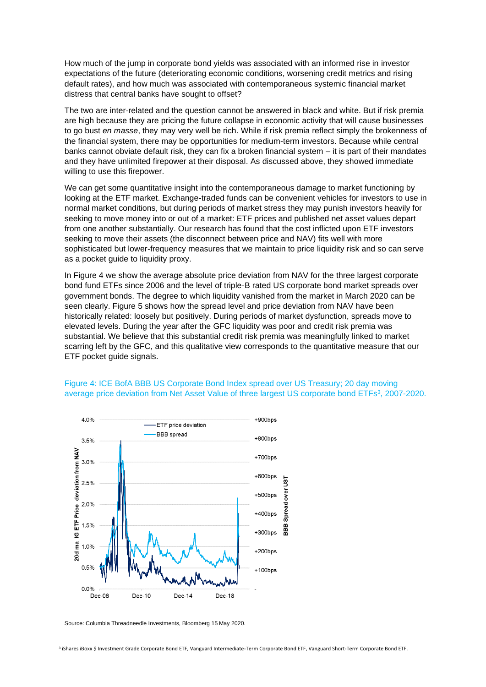How much of the jump in corporate bond yields was associated with an informed rise in investor expectations of the future (deteriorating economic conditions, worsening credit metrics and rising default rates), and how much was associated with contemporaneous systemic financial market distress that central banks have sought to offset?

The two are inter-related and the question cannot be answered in black and white. But if risk premia are high because they are pricing the future collapse in economic activity that will cause businesses to go bust *en masse*, they may very well be rich. While if risk premia reflect simply the brokenness of the financial system, there may be opportunities for medium-term investors. Because while central banks cannot obviate default risk, they can fix a broken financial system – it is part of their mandates and they have unlimited firepower at their disposal. As discussed above, they showed immediate willing to use this firepower.

We can get some quantitative insight into the contemporaneous damage to market functioning by looking at the ETF market. Exchange-traded funds can be convenient vehicles for investors to use in normal market conditions, but during periods of market stress they may punish investors heavily for seeking to move money into or out of a market: ETF prices and published net asset values depart from one another substantially. Our research has found that the cost inflicted upon ETF investors seeking to move their assets (the disconnect between price and NAV) fits well with more sophisticated but lower-frequency measures that we maintain to price liquidity risk and so can serve as a pocket guide to liquidity proxy.

In Figure 4 we show the average absolute price deviation from NAV for the three largest corporate bond fund ETFs since 2006 and the level of triple-B rated US corporate bond market spreads over government bonds. The degree to which liquidity vanished from the market in March 2020 can be seen clearly. Figure 5 shows how the spread level and price deviation from NAV have been historically related: loosely but positively. During periods of market dysfunction, spreads move to elevated levels. During the year after the GFC liquidity was poor and credit risk premia was substantial. We believe that this substantial credit risk premia was meaningfully linked to market scarring left by the GFC, and this qualitative view corresponds to the quantitative measure that our ETF pocket guide signals.



## Figure 4: ICE BofA BBB US Corporate Bond Index spread over US Treasury; 20 day moving average price deviation from Net Asset Value of three largest US corporate bond ETFs<sup>3</sup>, 2007-2020.

Source: Columbia Threadneedle Investments, Bloomberg 15 May 2020.

<sup>3</sup> iShares iBoxx \$ Investment Grade Corporate Bond ETF, Vanguard Intermediate-Term Corporate Bond ETF, Vanguard Short-Term Corporate Bond ETF.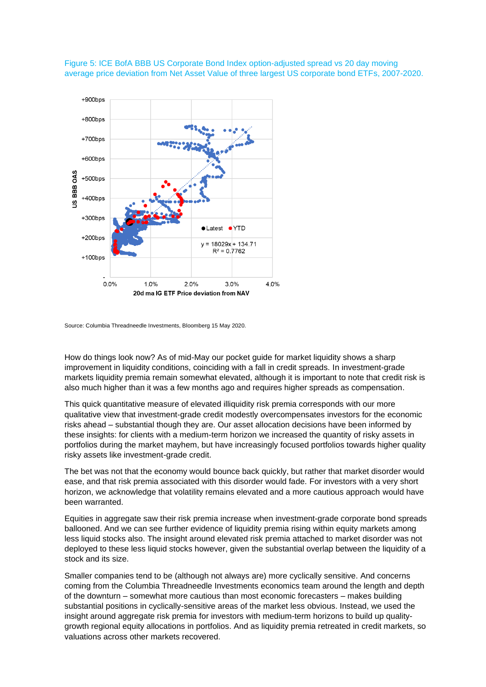

Figure 5: ICE BofA BBB US Corporate Bond Index option-adjusted spread vs 20 day moving average price deviation from Net Asset Value of three largest US corporate bond ETFs, 2007-2020.

Source: Columbia Threadneedle Investments, Bloomberg 15 May 2020.

How do things look now? As of mid-May our pocket guide for market liquidity shows a sharp improvement in liquidity conditions, coinciding with a fall in credit spreads. In investment-grade markets liquidity premia remain somewhat elevated, although it is important to note that credit risk is also much higher than it was a few months ago and requires higher spreads as compensation.

This quick quantitative measure of elevated illiquidity risk premia corresponds with our more qualitative view that investment-grade credit modestly overcompensates investors for the economic risks ahead – substantial though they are. Our asset allocation decisions have been informed by these insights: for clients with a medium-term horizon we increased the quantity of risky assets in portfolios during the market mayhem, but have increasingly focused portfolios towards higher quality risky assets like investment-grade credit.

The bet was not that the economy would bounce back quickly, but rather that market disorder would ease, and that risk premia associated with this disorder would fade. For investors with a very short horizon, we acknowledge that volatility remains elevated and a more cautious approach would have been warranted.

Equities in aggregate saw their risk premia increase when investment-grade corporate bond spreads ballooned. And we can see further evidence of liquidity premia rising within equity markets among less liquid stocks also. The insight around elevated risk premia attached to market disorder was not deployed to these less liquid stocks however, given the substantial overlap between the liquidity of a stock and its size.

Smaller companies tend to be (although not always are) more cyclically sensitive. And concerns coming from the Columbia Threadneedle Investments economics team around the length and depth of the downturn – somewhat more cautious than most economic forecasters – makes building substantial positions in cyclically-sensitive areas of the market less obvious. Instead, we used the insight around aggregate risk premia for investors with medium-term horizons to build up qualitygrowth regional equity allocations in portfolios. And as liquidity premia retreated in credit markets, so valuations across other markets recovered.